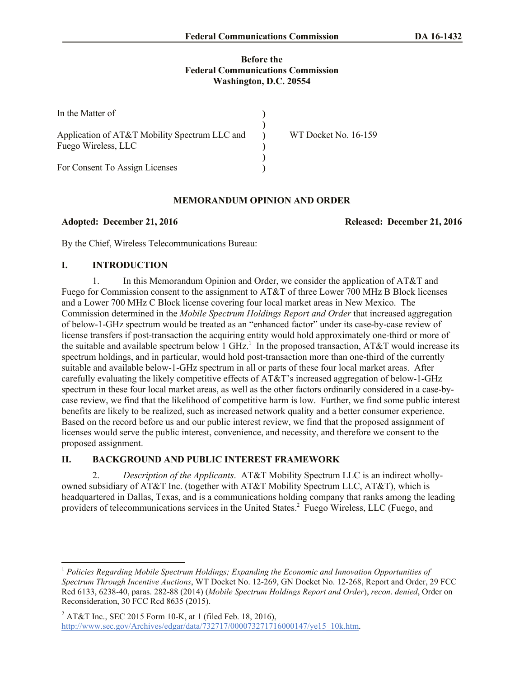#### **Before the Federal Communications Commission Washington, D.C. 20554**

| In the Matter of                                                     |                      |
|----------------------------------------------------------------------|----------------------|
| Application of AT&T Mobility Spectrum LLC and<br>Fuego Wireless, LLC | WT Docket No. 16-159 |
| For Consent To Assign Licenses                                       |                      |

#### **MEMORANDUM OPINION AND ORDER**

**Adopted: December 21, 2016 Released: December 21, 2016**

By the Chief, Wireless Telecommunications Bureau:

# **I. INTRODUCTION**

1. In this Memorandum Opinion and Order, we consider the application of AT&T and Fuego for Commission consent to the assignment to AT&T of three Lower 700 MHz B Block licenses and a Lower 700 MHz C Block license covering four local market areas in New Mexico. The Commission determined in the *Mobile Spectrum Holdings Report and Order* that increased aggregation of below-1-GHz spectrum would be treated as an "enhanced factor" under its case-by-case review of license transfers if post-transaction the acquiring entity would hold approximately one-third or more of the suitable and available spectrum below 1 GHz.<sup>1</sup> In the proposed transaction,  $AT&T$  would increase its spectrum holdings, and in particular, would hold post-transaction more than one-third of the currently suitable and available below-1-GHz spectrum in all or parts of these four local market areas. After carefully evaluating the likely competitive effects of AT&T's increased aggregation of below-1-GHz spectrum in these four local market areas, as well as the other factors ordinarily considered in a case-bycase review, we find that the likelihood of competitive harm is low. Further, we find some public interest benefits are likely to be realized, such as increased network quality and a better consumer experience. Based on the record before us and our public interest review, we find that the proposed assignment of licenses would serve the public interest, convenience, and necessity, and therefore we consent to the proposed assignment.

# **II. BACKGROUND AND PUBLIC INTEREST FRAMEWORK**

2. *Description of the Applicants*. AT&T Mobility Spectrum LLC is an indirect whollyowned subsidiary of AT&T Inc. (together with AT&T Mobility Spectrum LLC, AT&T), which is headquartered in Dallas, Texas, and is a communications holding company that ranks among the leading providers of telecommunications services in the United States.<sup>2</sup> Fuego Wireless, LLC (Fuego, and

l <sup>1</sup> *Policies Regarding Mobile Spectrum Holdings; Expanding the Economic and Innovation Opportunities of Spectrum Through Incentive Auctions*, WT Docket No. 12-269, GN Docket No. 12-268, Report and Order, 29 FCC Rcd 6133, 6238-40, paras. 282-88 (2014) (*Mobile Spectrum Holdings Report and Order*), *recon*. *denied*, Order on Reconsideration, 30 FCC Rcd 8635 (2015).

<sup>&</sup>lt;sup>2</sup> AT&T Inc., SEC 2015 Form 10-K, at 1 (filed Feb. 18, 2016), http://www.sec.gov/Archives/edgar/data/732717/000073271716000147/ye15\_10k.htm.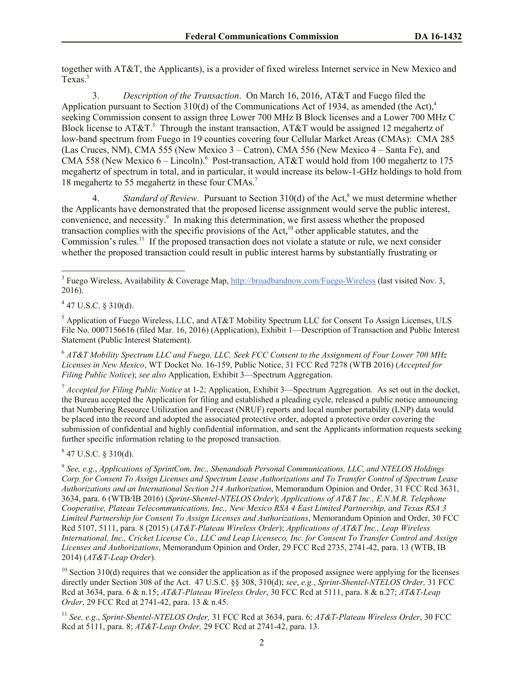together with AT&T, the Applicants), is a provider of fixed wireless Internet service in New Mexico and Texas.<sup>3</sup>

3. *Description of the Transaction*. On March 16, 2016, AT&T and Fuego filed the Application pursuant to Section 310(d) of the Communications Act of 1934, as amended (the Act),<sup>4</sup> seeking Commission consent to assign three Lower 700 MHz B Block licenses and a Lower 700 MHz C Block license to  $AT&T$ .<sup>5</sup> Through the instant transaction,  $AT&T$  would be assigned 12 megahertz of low-band spectrum from Fuego in 19 counties covering four Cellular Market Areas (CMAs): CMA 285 (Las Cruces, NM), CMA 555 (New Mexico 3 – Catron), CMA 556 (New Mexico 4 – Santa Fe), and CMA 558 (New Mexico 6 – Lincoln).<sup>6</sup> Post-transaction, AT&T would hold from 100 megahertz to 175 megahertz of spectrum in total, and in particular, it would increase its below-1-GHz holdings to hold from 18 megahertz to 55 megahertz in these four CMAs.<sup>7</sup>

4. *Standard of Review.* Pursuant to Section 310(d) of the Act,<sup>8</sup> we must determine whether the Applicants have demonstrated that the proposed license assignment would serve the public interest, convenience, and necessity.<sup>9</sup> In making this determination, we first assess whether the proposed transaction complies with the specific provisions of the Act,<sup>10</sup> other applicable statutes, and the Commission's rules.<sup>11</sup> If the proposed transaction does not violate a statute or rule, we next consider whether the proposed transaction could result in public interest harms by substantially frustrating or

 $4$  47 U.S.C. § 310(d).

 $\overline{\phantom{a}}$ 

<sup>5</sup> Application of Fuego Wireless, LLC, and AT&T Mobility Spectrum LLC for Consent To Assign Licenses, ULS File No. 0007156616 (filed Mar. 16, 2016) (Application), Exhibit 1—Description of Transaction and Public Interest Statement (Public Interest Statement).

<sup>6</sup> *AT&T Mobility Spectrum LLC and Fuego, LLC, Seek FCC Consent to the Assignment of Four Lower 700 MHz Licenses in New Mexico*, WT Docket No. 16-159, Public Notice, 31 FCC Rcd 7278 (WTB 2016) (*Accepted for Filing Public Notice*); *see also* Application, Exhibit 3—Spectrum Aggregation.

<sup>7</sup> *Accepted for Filing Public Notice* at 1-2; Application, Exhibit 3—Spectrum Aggregation. As set out in the docket, the Bureau accepted the Application for filing and established a pleading cycle, released a public notice announcing that Numbering Resource Utilization and Forecast (NRUF) reports and local number portability (LNP) data would be placed into the record and adopted the associated protective order, adopted a protective order covering the submission of confidential and highly confidential information, and sent the Applicants information requests seeking further specific information relating to the proposed transaction.

 $847$  U.S.C. § 310(d).

9 *See, e.g.*, *Applications of SprintCom, Inc., Shenandoah Personal Communications, LLC, and NTELOS Holdings Corp. for Consent To Assign Licenses and Spectrum Lease Authorizations and To Transfer Control of Spectrum Lease Authorizations and an International Section 214 Authorization*, Memorandum Opinion and Order, 31 FCC Rcd 3631, 3634, para. 6 (WTB/IB 2016) (*Sprint-Shentel-NTELOS Order*); *Applications of AT&T Inc., E.N.M.R. Telephone Cooperative, Plateau Telecommunications, Inc., New Mexico RSA 4 East Limited Partnership, and Texas RSA 3 Limited Partnership for Consent To Assign Licenses and Authorizations*, Memorandum Opinion and Order, 30 FCC Rcd 5107, 5111, para. 8 (2015) (*AT&T-Plateau Wireless Order*); *Applications of AT&T Inc., Leap Wireless International, Inc., Cricket License Co., LLC and Leap Licenseco, Inc. for Consent To Transfer Control and Assign Licenses and Authorizations*, Memorandum Opinion and Order, 29 FCC Rcd 2735, 2741-42, para. 13 (WTB, IB 2014) (*AT&T-Leap Order*).

 $10$  Section 310(d) requires that we consider the application as if the proposed assignee were applying for the licenses directly under Section 308 of the Act. 47 U.S.C. §§ 308, 310(d); *see*, *e.g.*, *Sprint-Shentel-NTELOS Order,* 31 FCC Rcd at 3634, para. 6 & n.15; *AT&T-Plateau Wireless Order*, 30 FCC Rcd at 5111, para. 8 & n.27; *AT&T-Leap Order*, 29 FCC Rcd at 2741-42, para. 13 & n.45.

<sup>11</sup> *See, e.g*., *Sprint-Shentel-NTELOS Order,* 31 FCC Rcd at 3634, para. 6; *AT&T-Plateau Wireless Order*, 30 FCC Rcd at 5111, para. 8; *AT&T-Leap Order,* 29 FCC Rcd at 2741-42, para. 13.

<sup>&</sup>lt;sup>3</sup> Fuego Wireless, Availability & Coverage Map,  $\frac{http://broadbandnow.com/Fuego-Wireless}{http://broadbandnow.com/Fuego-Wireless}$  (last visited Nov. 3, 2016).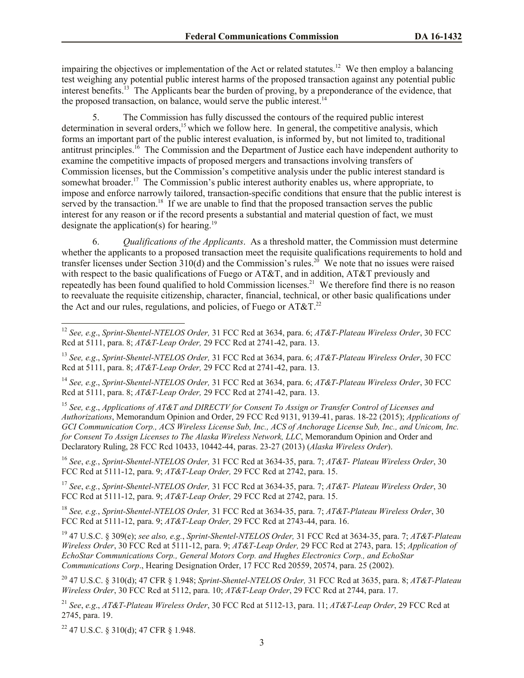impairing the objectives or implementation of the Act or related statutes.<sup>12</sup> We then employ a balancing test weighing any potential public interest harms of the proposed transaction against any potential public interest benefits.<sup>13</sup> The Applicants bear the burden of proving, by a preponderance of the evidence, that the proposed transaction, on balance, would serve the public interest.<sup>14</sup>

5. The Commission has fully discussed the contours of the required public interest determination in several orders,<sup>15</sup> which we follow here. In general, the competitive analysis, which forms an important part of the public interest evaluation, is informed by, but not limited to, traditional antitrust principles.<sup>16</sup> The Commission and the Department of Justice each have independent authority to examine the competitive impacts of proposed mergers and transactions involving transfers of Commission licenses, but the Commission's competitive analysis under the public interest standard is somewhat broader.<sup>17</sup> The Commission's public interest authority enables us, where appropriate, to impose and enforce narrowly tailored, transaction-specific conditions that ensure that the public interest is served by the transaction.<sup>18</sup> If we are unable to find that the proposed transaction serves the public interest for any reason or if the record presents a substantial and material question of fact, we must designate the application(s) for hearing.<sup>19</sup>

6. *Qualifications of the Applicants*. As a threshold matter, the Commission must determine whether the applicants to a proposed transaction meet the requisite qualifications requirements to hold and transfer licenses under Section  $310(d)$  and the Commission's rules.<sup>20</sup> We note that no issues were raised with respect to the basic qualifications of Fuego or AT&T, and in addition, AT&T previously and repeatedly has been found qualified to hold Commission licenses.<sup>21</sup> We therefore find there is no reason to reevaluate the requisite citizenship, character, financial, technical, or other basic qualifications under the Act and our rules, regulations, and policies, of Fuego or AT&T. $^{22}$ 

<sup>16</sup> *See*, *e.g.*, *Sprint-Shentel-NTELOS Order,* 31 FCC Rcd at 3634-35, para. 7; *AT&T- Plateau Wireless Order*, 30 FCC Rcd at 5111-12, para. 9; *AT&T-Leap Order,* 29 FCC Rcd at 2742, para. 15.

<sup>17</sup> *See*, *e.g.*, *Sprint-Shentel-NTELOS Order,* 31 FCC Rcd at 3634-35, para. 7; *AT&T- Plateau Wireless Order*, 30 FCC Rcd at 5111-12, para. 9; *AT&T-Leap Order,* 29 FCC Rcd at 2742, para. 15.

<sup>18</sup> *See, e.g.*, *Sprint-Shentel-NTELOS Order,* 31 FCC Rcd at 3634-35, para. 7; *AT&T-Plateau Wireless Order*, 30 FCC Rcd at 5111-12, para. 9; *AT&T-Leap Order,* 29 FCC Rcd at 2743-44, para. 16.

<sup>19</sup> 47 U.S.C. § 309(e); *see also, e.g.*, *Sprint-Shentel-NTELOS Order,* 31 FCC Rcd at 3634-35, para. 7; *AT&T-Plateau Wireless Order*, 30 FCC Rcd at 5111-12, para. 9; *AT&T-Leap Order,* 29 FCC Rcd at 2743, para. 15; *Application of EchoStar Communications Corp., General Motors Corp. and Hughes Electronics Corp., and EchoStar Communications Corp*., Hearing Designation Order, 17 FCC Rcd 20559, 20574, para. 25 (2002).

<sup>20</sup> 47 U.S.C. § 310(d); 47 CFR § 1.948; *Sprint-Shentel-NTELOS Order,* 31 FCC Rcd at 3635, para. 8; *AT&T-Plateau Wireless Order*, 30 FCC Rcd at 5112, para. 10; *AT&T-Leap Order*, 29 FCC Rcd at 2744, para. 17.

<sup>21</sup> *See*, *e.g*., *AT&T-Plateau Wireless Order*, 30 FCC Rcd at 5112-13, para. 11; *AT&T-Leap Order*, 29 FCC Rcd at 2745, para. 19.

 $22$  47 U.S.C. § 310(d); 47 CFR § 1.948.

l

<sup>12</sup> *See, e.g*., *Sprint-Shentel-NTELOS Order,* 31 FCC Rcd at 3634, para. 6; *AT&T-Plateau Wireless Order*, 30 FCC Rcd at 5111, para. 8; *AT&T-Leap Order,* 29 FCC Rcd at 2741-42, para. 13.

<sup>13</sup> *See, e.g*., *Sprint-Shentel-NTELOS Order,* 31 FCC Rcd at 3634, para. 6; *AT&T-Plateau Wireless Order*, 30 FCC Rcd at 5111, para. 8; *AT&T-Leap Order,* 29 FCC Rcd at 2741-42, para. 13.

<sup>14</sup> *See, e.g*., *Sprint-Shentel-NTELOS Order,* 31 FCC Rcd at 3634, para. 6; *AT&T-Plateau Wireless Order*, 30 FCC Rcd at 5111, para. 8; *AT&T-Leap Order,* 29 FCC Rcd at 2741-42, para. 13.

<sup>15</sup> *See, e.g*., *Applications of AT&T and DIRECTV for Consent To Assign or Transfer Control of Licenses and Authorizations*, Memorandum Opinion and Order, 29 FCC Rcd 9131, 9139-41, paras. 18-22 (2015); *Applications of GCI Communication Corp., ACS Wireless License Sub, Inc., ACS of Anchorage License Sub, Inc., and Unicom, Inc. for Consent To Assign Licenses to The Alaska Wireless Network, LLC*, Memorandum Opinion and Order and Declaratory Ruling, 28 FCC Rcd 10433, 10442-44, paras. 23-27 (2013) (*Alaska Wireless Order*).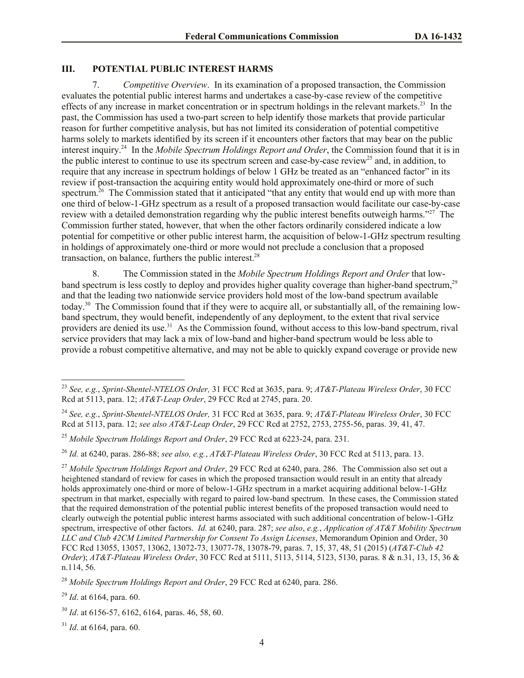# **III. POTENTIAL PUBLIC INTEREST HARMS**

7. *Competitive Overview*. In its examination of a proposed transaction, the Commission evaluates the potential public interest harms and undertakes a case-by-case review of the competitive effects of any increase in market concentration or in spectrum holdings in the relevant markets.<sup>23</sup> In the past, the Commission has used a two-part screen to help identify those markets that provide particular reason for further competitive analysis, but has not limited its consideration of potential competitive harms solely to markets identified by its screen if it encounters other factors that may bear on the public interest inquiry.<sup>24</sup> In the *Mobile Spectrum Holdings Report and Order*, the Commission found that it is in the public interest to continue to use its spectrum screen and case-by-case review<sup>25</sup> and, in addition, to require that any increase in spectrum holdings of below 1 GHz be treated as an "enhanced factor" in its review if post-transaction the acquiring entity would hold approximately one-third or more of such spectrum.<sup>26</sup> The Commission stated that it anticipated "that any entity that would end up with more than one third of below-1-GHz spectrum as a result of a proposed transaction would facilitate our case-by-case review with a detailed demonstration regarding why the public interest benefits outweigh harms."<sup>27</sup> The Commission further stated, however, that when the other factors ordinarily considered indicate a low potential for competitive or other public interest harm, the acquisition of below-1-GHz spectrum resulting in holdings of approximately one-third or more would not preclude a conclusion that a proposed transaction, on balance, furthers the public interest. $28$ 

8. The Commission stated in the *Mobile Spectrum Holdings Report and Order* that lowband spectrum is less costly to deploy and provides higher quality coverage than higher-band spectrum,<sup>29</sup> and that the leading two nationwide service providers hold most of the low-band spectrum available today.<sup>30</sup> The Commission found that if they were to acquire all, or substantially all, of the remaining lowband spectrum, they would benefit, independently of any deployment, to the extent that rival service providers are denied its use.<sup>31</sup> As the Commission found, without access to this low-band spectrum, rival service providers that may lack a mix of low-band and higher-band spectrum would be less able to provide a robust competitive alternative, and may not be able to quickly expand coverage or provide new

<sup>29</sup> *Id*. at 6164, para. 60.

l

<sup>31</sup> *Id*. at 6164, para. 60.

<sup>23</sup> *See, e.g.*, *Sprint-Shentel-NTELOS Order,* 31 FCC Rcd at 3635, para. 9; *AT&T-Plateau Wireless Order*, 30 FCC Rcd at 5113, para. 12; *AT&T-Leap Order*, 29 FCC Rcd at 2745, para. 20.

<sup>24</sup> *See, e.g.*, *Sprint-Shentel-NTELOS Order,* 31 FCC Rcd at 3635, para. 9; *AT&T-Plateau Wireless Order*, 30 FCC Rcd at 5113, para. 12; *see also AT&T-Leap Order*, 29 FCC Rcd at 2752, 2753, 2755-56, paras. 39, 41, 47.

<sup>25</sup> *Mobile Spectrum Holdings Report and Order*, 29 FCC Rcd at 6223-24, para. 231.

<sup>26</sup> *Id.* at 6240, paras. 286-88; *see also, e.g.*, *AT&T-Plateau Wireless Order*, 30 FCC Rcd at 5113, para. 13.

<sup>27</sup> *Mobile Spectrum Holdings Report and Order*, 29 FCC Rcd at 6240, para. 286. The Commission also set out a heightened standard of review for cases in which the proposed transaction would result in an entity that already holds approximately one-third or more of below-1-GHz spectrum in a market acquiring additional below-1-GHz spectrum in that market, especially with regard to paired low-band spectrum. In these cases, the Commission stated that the required demonstration of the potential public interest benefits of the proposed transaction would need to clearly outweigh the potential public interest harms associated with such additional concentration of below-1-GHz spectrum, irrespective of other factors. *Id.* at 6240, para. 287; *see also*, *e.g.*, *Application of AT&T Mobility Spectrum LLC and Club 42CM Limited Partnership for Consent To Assign Licenses*, Memorandum Opinion and Order, 30 FCC Rcd 13055, 13057, 13062, 13072-73, 13077-78, 13078-79, paras. 7, 15, 37, 48, 51 (2015) (*AT&T-Club 42 Order*); *AT&T-Plateau Wireless Order*, 30 FCC Rcd at 5111, 5113, 5114, 5123, 5130, paras. 8 & n.31, 13, 15, 36 & n.114, 56.

<sup>28</sup> *Mobile Spectrum Holdings Report and Order*, 29 FCC Rcd at 6240, para. 286.

<sup>30</sup> *Id*. at 6156-57, 6162, 6164, paras. 46, 58, 60.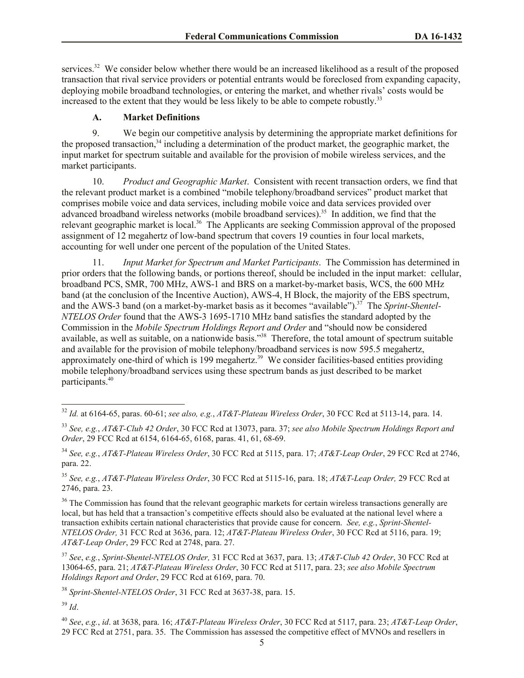services.<sup>32</sup> We consider below whether there would be an increased likelihood as a result of the proposed transaction that rival service providers or potential entrants would be foreclosed from expanding capacity, deploying mobile broadband technologies, or entering the market, and whether rivals' costs would be increased to the extent that they would be less likely to be able to compete robustly.<sup>33</sup>

### **A. Market Definitions**

9. We begin our competitive analysis by determining the appropriate market definitions for the proposed transaction,<sup>34</sup> including a determination of the product market, the geographic market, the input market for spectrum suitable and available for the provision of mobile wireless services, and the market participants.

10. *Product and Geographic Market*. Consistent with recent transaction orders, we find that the relevant product market is a combined "mobile telephony/broadband services" product market that comprises mobile voice and data services, including mobile voice and data services provided over advanced broadband wireless networks (mobile broadband services).<sup>35</sup> In addition, we find that the relevant geographic market is local.<sup>36</sup> The Applicants are seeking Commission approval of the proposed assignment of 12 megahertz of low-band spectrum that covers 19 counties in four local markets, accounting for well under one percent of the population of the United States.

11. *Input Market for Spectrum and Market Participants*. The Commission has determined in prior orders that the following bands, or portions thereof, should be included in the input market: cellular, broadband PCS, SMR, 700 MHz, AWS-1 and BRS on a market-by-market basis, WCS, the 600 MHz band (at the conclusion of the Incentive Auction), AWS-4, H Block, the majority of the EBS spectrum, and the AWS-3 band (on a market-by-market basis as it becomes "available").<sup>37</sup> The *Sprint-Shentel-NTELOS Order* found that the AWS-3 1695-1710 MHz band satisfies the standard adopted by the Commission in the *Mobile Spectrum Holdings Report and Order* and "should now be considered available, as well as suitable, on a nationwide basis."<sup>38</sup> Therefore, the total amount of spectrum suitable and available for the provision of mobile telephony/broadband services is now 595.5 megahertz, approximately one-third of which is 199 megahertz.<sup>39</sup> We consider facilities-based entities providing mobile telephony/broadband services using these spectrum bands as just described to be market participants.<sup>40</sup>

<sup>36</sup> The Commission has found that the relevant geographic markets for certain wireless transactions generally are local, but has held that a transaction's competitive effects should also be evaluated at the national level where a transaction exhibits certain national characteristics that provide cause for concern. *See, e.g.*, *Sprint-Shentel-NTELOS Order,* 31 FCC Rcd at 3636, para. 12; *AT&T-Plateau Wireless Order*, 30 FCC Rcd at 5116, para. 19; *AT&T-Leap Order*, 29 FCC Rcd at 2748, para. 27.

<sup>37</sup> *See*, *e.g.*, *Sprint-Shentel-NTELOS Order,* 31 FCC Rcd at 3637, para. 13; *AT&T-Club 42 Order*, 30 FCC Rcd at 13064-65, para. 21; *AT&T-Plateau Wireless Order*, 30 FCC Rcd at 5117, para. 23; *see also Mobile Spectrum Holdings Report and Order*, 29 FCC Rcd at 6169, para. 70.

<sup>38</sup> *Sprint-Shentel-NTELOS Order*, 31 FCC Rcd at 3637-38, para. 15.

 $39$  *Id.* 

l

<sup>40</sup> *See*, *e.g.*, *id*. at 3638, para. 16; *AT&T-Plateau Wireless Order*, 30 FCC Rcd at 5117, para. 23; *AT&T-Leap Order*, 29 FCC Rcd at 2751, para. 35. The Commission has assessed the competitive effect of MVNOs and resellers in

<sup>32</sup> *Id.* at 6164-65, paras. 60-61; *see also, e.g.*, *AT&T-Plateau Wireless Order*, 30 FCC Rcd at 5113-14, para. 14.

<sup>33</sup> *See, e.g.*, *AT&T-Club 42 Order*, 30 FCC Rcd at 13073, para. 37; *see also Mobile Spectrum Holdings Report and Order*, 29 FCC Rcd at 6154, 6164-65, 6168, paras. 41, 61, 68-69.

<sup>34</sup> *See, e.g.*, *AT&T-Plateau Wireless Order*, 30 FCC Rcd at 5115, para. 17; *AT&T-Leap Order*, 29 FCC Rcd at 2746, para. 22.

<sup>35</sup> *See, e.g.*, *AT&T-Plateau Wireless Order*, 30 FCC Rcd at 5115-16, para. 18; *AT&T-Leap Order,* 29 FCC Rcd at 2746, para. 23.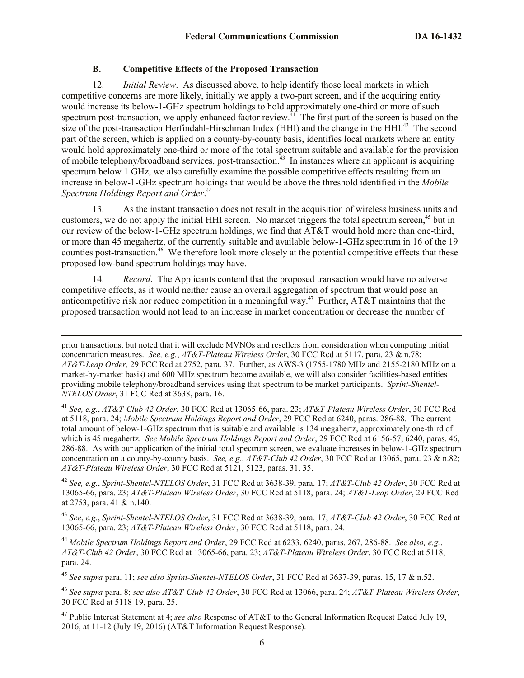## **B. Competitive Effects of the Proposed Transaction**

 $\overline{\phantom{a}}$ 

12. *Initial Review*. As discussed above, to help identify those local markets in which competitive concerns are more likely, initially we apply a two-part screen, and if the acquiring entity would increase its below-1-GHz spectrum holdings to hold approximately one-third or more of such spectrum post-transaction, we apply enhanced factor review.<sup>41</sup> The first part of the screen is based on the size of the post-transaction Herfindahl-Hirschman Index (HHI) and the change in the HHI.<sup>42</sup> The second part of the screen, which is applied on a county-by-county basis, identifies local markets where an entity would hold approximately one-third or more of the total spectrum suitable and available for the provision of mobile telephony/broadband services, post-transaction.<sup>43</sup> In instances where an applicant is acquiring spectrum below 1 GHz, we also carefully examine the possible competitive effects resulting from an increase in below-1-GHz spectrum holdings that would be above the threshold identified in the *Mobile Spectrum Holdings Report and Order*. 44

13. As the instant transaction does not result in the acquisition of wireless business units and customers, we do not apply the initial HHI screen. No market triggers the total spectrum screen,<sup>45</sup> but in our review of the below-1-GHz spectrum holdings, we find that AT&T would hold more than one-third, or more than 45 megahertz, of the currently suitable and available below-1-GHz spectrum in 16 of the 19 counties post-transaction. <sup>46</sup> We therefore look more closely at the potential competitive effects that these proposed low-band spectrum holdings may have.

14. *Record*. The Applicants contend that the proposed transaction would have no adverse competitive effects, as it would neither cause an overall aggregation of spectrum that would pose an anticompetitive risk nor reduce competition in a meaningful way.<sup>47</sup> Further, AT&T maintains that the proposed transaction would not lead to an increase in market concentration or decrease the number of

<sup>41</sup> *See, e.g.*, *AT&T-Club 42 Order*, 30 FCC Rcd at 13065-66, para. 23; *AT&T-Plateau Wireless Order*, 30 FCC Rcd at 5118, para. 24; *Mobile Spectrum Holdings Report and Order*, 29 FCC Rcd at 6240, paras. 286-88. The current total amount of below-1-GHz spectrum that is suitable and available is 134 megahertz, approximately one-third of which is 45 megahertz. *See Mobile Spectrum Holdings Report and Order*, 29 FCC Rcd at 6156-57, 6240, paras. 46, 286-88. As with our application of the initial total spectrum screen, we evaluate increases in below-1-GHz spectrum concentration on a county-by-county basis. *See, e.g.*, *AT&T-Club 42 Order*, 30 FCC Rcd at 13065, para. 23 & n.82; *AT&T-Plateau Wireless Order*, 30 FCC Rcd at 5121, 5123, paras. 31, 35.

<sup>42</sup> *See, e.g.*, *Sprint-Shentel-NTELOS Order*, 31 FCC Rcd at 3638-39, para. 17; *AT&T-Club 42 Order*, 30 FCC Rcd at 13065-66, para. 23; *AT&T-Plateau Wireless Order*, 30 FCC Rcd at 5118, para. 24; *AT&T-Leap Order*, 29 FCC Rcd at 2753, para. 41 & n.140.

<sup>43</sup> *See*, *e.g.*, *Sprint-Shentel-NTELOS Order*, 31 FCC Rcd at 3638-39, para. 17; *AT&T-Club 42 Order*, 30 FCC Rcd at 13065-66, para. 23; *AT&T-Plateau Wireless Order*, 30 FCC Rcd at 5118, para. 24.

<sup>44</sup> *Mobile Spectrum Holdings Report and Order*, 29 FCC Rcd at 6233, 6240, paras. 267, 286-88. *See also, e.g.*, *AT&T-Club 42 Order*, 30 FCC Rcd at 13065-66, para. 23; *AT&T-Plateau Wireless Order*, 30 FCC Rcd at 5118, para. 24.

<sup>45</sup> *See supra* para. 11; *see also Sprint-Shentel-NTELOS Order*, 31 FCC Rcd at 3637-39, paras. 15, 17 & n.52.

<sup>46</sup> *See supra* para. 8; *see also AT&T-Club 42 Order*, 30 FCC Rcd at 13066, para. 24; *AT&T-Plateau Wireless Order*, 30 FCC Rcd at 5118-19, para. 25.

<sup>47</sup> Public Interest Statement at 4; *see also* Response of AT&T to the General Information Request Dated July 19, 2016, at 11-12 (July 19, 2016) (AT&T Information Request Response).

prior transactions, but noted that it will exclude MVNOs and resellers from consideration when computing initial concentration measures. *See, e.g.*, *AT&T-Plateau Wireless Order*, 30 FCC Rcd at 5117, para. 23 & n.78; *AT&T-Leap Order,* 29 FCC Rcd at 2752, para. 37. Further, as AWS-3 (1755-1780 MHz and 2155-2180 MHz on a market-by-market basis) and 600 MHz spectrum become available, we will also consider facilities-based entities providing mobile telephony/broadband services using that spectrum to be market participants. *Sprint-Shentel-NTELOS Order*, 31 FCC Rcd at 3638, para. 16.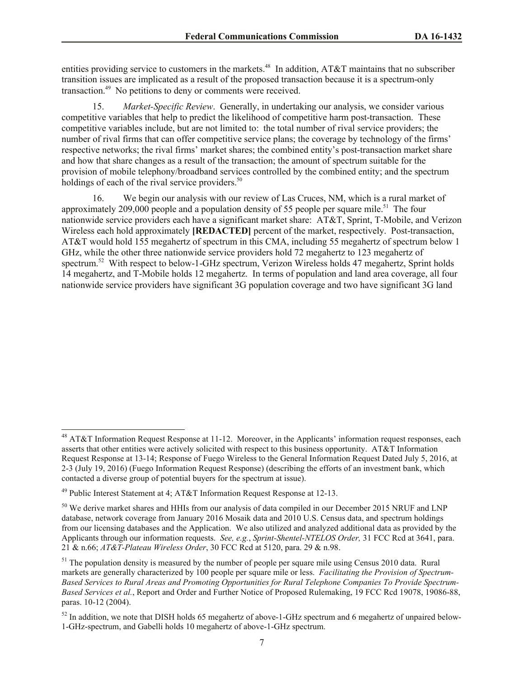entities providing service to customers in the markets.<sup>48</sup> In addition, AT&T maintains that no subscriber transition issues are implicated as a result of the proposed transaction because it is a spectrum-only transaction.<sup>49</sup> No petitions to deny or comments were received.

15. *Market-Specific Review*. Generally, in undertaking our analysis, we consider various competitive variables that help to predict the likelihood of competitive harm post-transaction. These competitive variables include, but are not limited to: the total number of rival service providers; the number of rival firms that can offer competitive service plans; the coverage by technology of the firms' respective networks; the rival firms' market shares; the combined entity's post-transaction market share and how that share changes as a result of the transaction; the amount of spectrum suitable for the provision of mobile telephony/broadband services controlled by the combined entity; and the spectrum holdings of each of the rival service providers.<sup>50</sup>

16. We begin our analysis with our review of Las Cruces, NM, which is a rural market of approximately 209,000 people and a population density of 55 people per square mile.<sup>51</sup> The four nationwide service providers each have a significant market share: AT&T, Sprint, T-Mobile, and Verizon Wireless each hold approximately **[REDACTED]** percent of the market, respectively. Post-transaction, AT&T would hold 155 megahertz of spectrum in this CMA, including 55 megahertz of spectrum below 1 GHz, while the other three nationwide service providers hold 72 megahertz to 123 megahertz of spectrum.<sup>52</sup> With respect to below-1-GHz spectrum, Verizon Wireless holds 47 megahertz, Sprint holds 14 megahertz, and T-Mobile holds 12 megahertz. In terms of population and land area coverage, all four nationwide service providers have significant 3G population coverage and two have significant 3G land

l

 $48$  AT&T Information Request Response at 11-12. Moreover, in the Applicants' information request responses, each asserts that other entities were actively solicited with respect to this business opportunity. AT&T Information Request Response at 13-14; Response of Fuego Wireless to the General Information Request Dated July 5, 2016, at 2-3 (July 19, 2016) (Fuego Information Request Response) (describing the efforts of an investment bank, which contacted a diverse group of potential buyers for the spectrum at issue).

<sup>&</sup>lt;sup>49</sup> Public Interest Statement at 4; AT&T Information Request Response at 12-13.

<sup>&</sup>lt;sup>50</sup> We derive market shares and HHIs from our analysis of data compiled in our December 2015 NRUF and LNP database, network coverage from January 2016 Mosaik data and 2010 U.S. Census data, and spectrum holdings from our licensing databases and the Application. We also utilized and analyzed additional data as provided by the Applicants through our information requests. *See, e.g.*, *Sprint-Shentel-NTELOS Order,* 31 FCC Rcd at 3641, para. 21 & n.66; *AT&T-Plateau Wireless Order*, 30 FCC Rcd at 5120, para. 29 & n.98.

 $51$  The population density is measured by the number of people per square mile using Census 2010 data. Rural markets are generally characterized by 100 people per square mile or less. *Facilitating the Provision of Spectrum-Based Services to Rural Areas and Promoting Opportunities for Rural Telephone Companies To Provide Spectrum-Based Services et al.*, Report and Order and Further Notice of Proposed Rulemaking, 19 FCC Rcd 19078, 19086-88, paras. 10-12 (2004).

<sup>&</sup>lt;sup>52</sup> In addition, we note that DISH holds 65 megahertz of above-1-GHz spectrum and 6 megahertz of unpaired below-1-GHz-spectrum, and Gabelli holds 10 megahertz of above-1-GHz spectrum.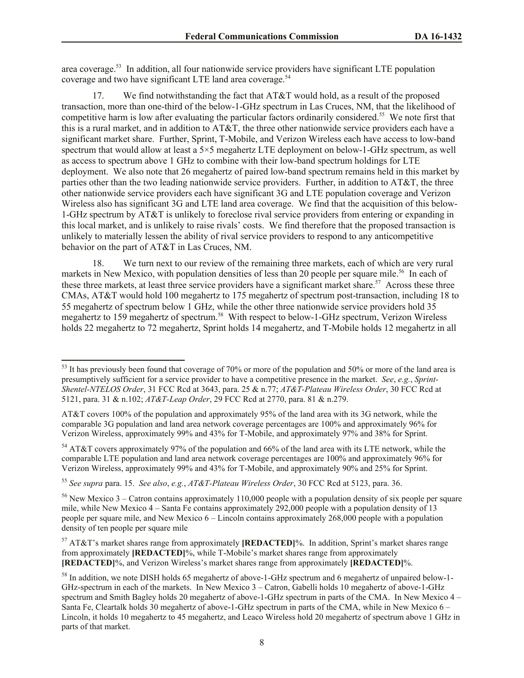area coverage.<sup>53</sup> In addition, all four nationwide service providers have significant LTE population coverage and two have significant LTE land area coverage.<sup>54</sup>

17. We find notwithstanding the fact that AT&T would hold, as a result of the proposed transaction, more than one-third of the below-1-GHz spectrum in Las Cruces, NM, that the likelihood of competitive harm is low after evaluating the particular factors ordinarily considered.<sup>55</sup> We note first that this is a rural market, and in addition to AT&T, the three other nationwide service providers each have a significant market share. Further, Sprint, T-Mobile, and Verizon Wireless each have access to low-band spectrum that would allow at least a 5×5 megahertz LTE deployment on below-1-GHz spectrum, as well as access to spectrum above 1 GHz to combine with their low-band spectrum holdings for LTE deployment. We also note that 26 megahertz of paired low-band spectrum remains held in this market by parties other than the two leading nationwide service providers. Further, in addition to AT&T, the three other nationwide service providers each have significant 3G and LTE population coverage and Verizon Wireless also has significant 3G and LTE land area coverage. We find that the acquisition of this below-1-GHz spectrum by AT&T is unlikely to foreclose rival service providers from entering or expanding in this local market, and is unlikely to raise rivals' costs. We find therefore that the proposed transaction is unlikely to materially lessen the ability of rival service providers to respond to any anticompetitive behavior on the part of AT&T in Las Cruces, NM.

18. We turn next to our review of the remaining three markets, each of which are very rural markets in New Mexico, with population densities of less than 20 people per square mile.<sup>56</sup> In each of these three markets, at least three service providers have a significant market share.<sup>57</sup> Across these three CMAs, AT&T would hold 100 megahertz to 175 megahertz of spectrum post-transaction, including 18 to 55 megahertz of spectrum below 1 GHz, while the other three nationwide service providers hold 35 megahertz to 159 megahertz of spectrum.<sup>58</sup> With respect to below-1-GHz spectrum, Verizon Wireless holds 22 megahertz to 72 megahertz, Sprint holds 14 megahertz, and T-Mobile holds 12 megahertz in all

l

 $53$  It has previously been found that coverage of 70% or more of the population and 50% or more of the land area is presumptively sufficient for a service provider to have a competitive presence in the market. *See*, *e.g.*, *Sprint-Shentel-NTELOS Order*, 31 FCC Rcd at 3643, para. 25 & n.77; *AT&T-Plateau Wireless Order*, 30 FCC Rcd at 5121, para. 31 & n.102; *AT&T-Leap Order*, 29 FCC Rcd at 2770, para. 81 & n.279.

AT&T covers 100% of the population and approximately 95% of the land area with its 3G network, while the comparable 3G population and land area network coverage percentages are 100% and approximately 96% for Verizon Wireless, approximately 99% and 43% for T-Mobile, and approximately 97% and 38% for Sprint.

<sup>54</sup> AT&T covers approximately 97% of the population and 66% of the land area with its LTE network, while the comparable LTE population and land area network coverage percentages are 100% and approximately 96% for Verizon Wireless, approximately 99% and 43% for T-Mobile, and approximately 90% and 25% for Sprint.

<sup>55</sup> *See supra* para. 15. *See also*, *e.g.*, *AT&T-Plateau Wireless Order*, 30 FCC Rcd at 5123, para. 36.

<sup>&</sup>lt;sup>56</sup> New Mexico 3 – Catron contains approximately 110,000 people with a population density of six people per square mile, while New Mexico 4 – Santa Fe contains approximately 292,000 people with a population density of 13 people per square mile, and New Mexico 6 – Lincoln contains approximately 268,000 people with a population density of ten people per square mile

<sup>57</sup> AT&T's market shares range from approximately **[REDACTED]**%. In addition, Sprint's market shares range from approximately **[REDACTED]**%, while T-Mobile's market shares range from approximately **[REDACTED]**%, and Verizon Wireless's market shares range from approximately **[REDACTED]**%.

<sup>&</sup>lt;sup>58</sup> In addition, we note DISH holds 65 megahertz of above-1-GHz spectrum and 6 megahertz of unpaired below-1-GHz-spectrum in each of the markets. In New Mexico 3 – Catron, Gabelli holds 10 megahertz of above-1-GHz spectrum and Smith Bagley holds 20 megahertz of above-1-GHz spectrum in parts of the CMA. In New Mexico 4 – Santa Fe, Cleartalk holds 30 megahertz of above-1-GHz spectrum in parts of the CMA, while in New Mexico 6 – Lincoln, it holds 10 megahertz to 45 megahertz, and Leaco Wireless hold 20 megahertz of spectrum above 1 GHz in parts of that market.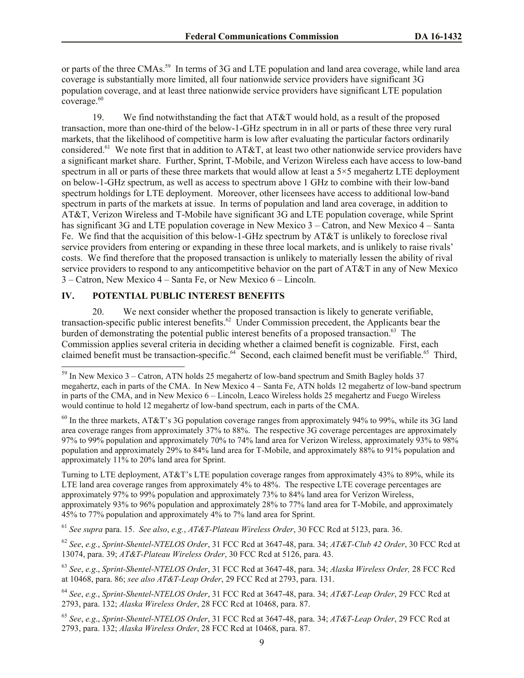or parts of the three CMAs.<sup>59</sup> In terms of 3G and LTE population and land area coverage, while land area coverage is substantially more limited, all four nationwide service providers have significant 3G population coverage, and at least three nationwide service providers have significant LTE population coverage.<sup>60</sup>

19. We find notwithstanding the fact that AT&T would hold, as a result of the proposed transaction, more than one-third of the below-1-GHz spectrum in in all or parts of these three very rural markets, that the likelihood of competitive harm is low after evaluating the particular factors ordinarily considered.<sup>61</sup> We note first that in addition to AT&T, at least two other nationwide service providers have a significant market share. Further, Sprint, T-Mobile, and Verizon Wireless each have access to low-band spectrum in all or parts of these three markets that would allow at least a  $5\times 5$  megahertz LTE deployment on below-1-GHz spectrum, as well as access to spectrum above 1 GHz to combine with their low-band spectrum holdings for LTE deployment. Moreover, other licensees have access to additional low-band spectrum in parts of the markets at issue. In terms of population and land area coverage, in addition to AT&T, Verizon Wireless and T-Mobile have significant 3G and LTE population coverage, while Sprint has significant 3G and LTE population coverage in New Mexico 3 – Catron, and New Mexico 4 – Santa Fe. We find that the acquisition of this below-1-GHz spectrum by AT&T is unlikely to foreclose rival service providers from entering or expanding in these three local markets, and is unlikely to raise rivals' costs. We find therefore that the proposed transaction is unlikely to materially lessen the ability of rival service providers to respond to any anticompetitive behavior on the part of AT&T in any of New Mexico 3 – Catron, New Mexico 4 – Santa Fe, or New Mexico 6 – Lincoln.

# **IV. POTENTIAL PUBLIC INTEREST BENEFITS**

l

20. We next consider whether the proposed transaction is likely to generate verifiable, transaction-specific public interest benefits. 62 Under Commission precedent, the Applicants bear the burden of demonstrating the potential public interest benefits of a proposed transaction.<sup>63</sup> The Commission applies several criteria in deciding whether a claimed benefit is cognizable. First, each claimed benefit must be transaction-specific.<sup>64</sup> Second, each claimed benefit must be verifiable.<sup>65</sup> Third,

Turning to LTE deployment, AT&T's LTE population coverage ranges from approximately 43% to 89%, while its LTE land area coverage ranges from approximately 4% to 48%. The respective LTE coverage percentages are approximately 97% to 99% population and approximately 73% to 84% land area for Verizon Wireless, approximately 93% to 96% population and approximately 28% to 77% land area for T-Mobile, and approximately 45% to 77% population and approximately 4% to 7% land area for Sprint.

<sup>61</sup> *See supra* para. 15. *See also*, *e.g.*, *AT&T-Plateau Wireless Order*, 30 FCC Rcd at 5123, para. 36.

<sup>62</sup> *See*, *e.g.*, *Sprint-Shentel-NTELOS Order*, 31 FCC Rcd at 3647-48, para. 34; *AT&T-Club 42 Order*, 30 FCC Rcd at 13074, para. 39; *AT&T-Plateau Wireless Order*, 30 FCC Rcd at 5126, para. 43.

<sup>63</sup> *See*, *e.g*., *Sprint-Shentel-NTELOS Order*, 31 FCC Rcd at 3647-48, para. 34; *Alaska Wireless Order,* 28 FCC Rcd at 10468, para. 86; *see also AT&T-Leap Order*, 29 FCC Rcd at 2793, para. 131.

<sup>64</sup> *See*, *e.g.*, *Sprint-Shentel-NTELOS Order*, 31 FCC Rcd at 3647-48, para. 34; *AT&T-Leap Order*, 29 FCC Rcd at 2793, para. 132; *Alaska Wireless Order*, 28 FCC Rcd at 10468, para. 87.

<sup>65</sup> *See*, *e.g*., *Sprint-Shentel-NTELOS Order*, 31 FCC Rcd at 3647-48, para. 34; *AT&T-Leap Order*, 29 FCC Rcd at 2793, para. 132; *Alaska Wireless Order*, 28 FCC Rcd at 10468, para. 87.

 $59$  In New Mexico 3 – Catron, ATN holds 25 megahertz of low-band spectrum and Smith Bagley holds 37 megahertz, each in parts of the CMA. In New Mexico 4 – Santa Fe, ATN holds 12 megahertz of low-band spectrum in parts of the CMA, and in New Mexico 6 – Lincoln, Leaco Wireless holds 25 megahertz and Fuego Wireless would continue to hold 12 megahertz of low-band spectrum, each in parts of the CMA.

 $60$  In the three markets, AT&T's 3G population coverage ranges from approximately 94% to 99%, while its 3G land area coverage ranges from approximately 37% to 88%. The respective 3G coverage percentages are approximately 97% to 99% population and approximately 70% to 74% land area for Verizon Wireless, approximately 93% to 98% population and approximately 29% to 84% land area for T-Mobile, and approximately 88% to 91% population and approximately 11% to 20% land area for Sprint.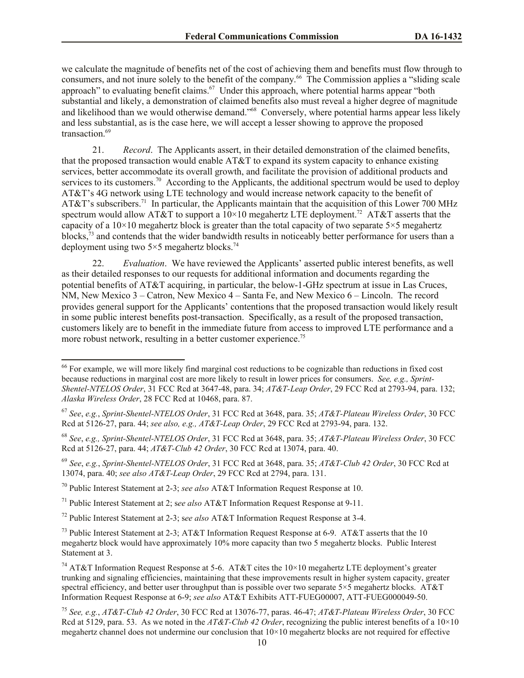we calculate the magnitude of benefits net of the cost of achieving them and benefits must flow through to consumers, and not inure solely to the benefit of the company. 66 The Commission applies a "sliding scale approach" to evaluating benefit claims.<sup>67</sup> Under this approach, where potential harms appear "both substantial and likely, a demonstration of claimed benefits also must reveal a higher degree of magnitude and likelihood than we would otherwise demand."<sup>68</sup> Conversely, where potential harms appear less likely and less substantial, as is the case here, we will accept a lesser showing to approve the proposed transaction<sup>69</sup>

21. *Record*. The Applicants assert, in their detailed demonstration of the claimed benefits, that the proposed transaction would enable AT&T to expand its system capacity to enhance existing services, better accommodate its overall growth, and facilitate the provision of additional products and services to its customers.<sup>70</sup> According to the Applicants, the additional spectrum would be used to deploy AT&T's 4G network using LTE technology and would increase network capacity to the benefit of AT&T's subscribers.<sup>71</sup> In particular, the Applicants maintain that the acquisition of this Lower 700 MHz spectrum would allow AT&T to support a  $10\times10$  megahertz LTE deployment.<sup>72</sup> AT&T asserts that the capacity of a  $10\times10$  megahertz block is greater than the total capacity of two separate  $5\times5$  megahertz blocks,<sup>73</sup> and contends that the wider bandwidth results in noticeably better performance for users than a deployment using two  $5\times 5$  megahertz blocks.<sup>74</sup>

22. *Evaluation*. We have reviewed the Applicants' asserted public interest benefits, as well as their detailed responses to our requests for additional information and documents regarding the potential benefits of AT&T acquiring, in particular, the below-1-GHz spectrum at issue in Las Cruces, NM, New Mexico 3 – Catron, New Mexico 4 – Santa Fe, and New Mexico 6 – Lincoln. The record provides general support for the Applicants' contentions that the proposed transaction would likely result in some public interest benefits post-transaction. Specifically, as a result of the proposed transaction, customers likely are to benefit in the immediate future from access to improved LTE performance and a more robust network, resulting in a better customer experience.<sup>75</sup>

 $\overline{\phantom{a}}$ 

 $66$  For example, we will more likely find marginal cost reductions to be cognizable than reductions in fixed cost because reductions in marginal cost are more likely to result in lower prices for consumers. *See, e.g., Sprint-Shentel-NTELOS Order*, 31 FCC Rcd at 3647-48, para. 34; *AT&T-Leap Order*, 29 FCC Rcd at 2793-94, para. 132; *Alaska Wireless Order*, 28 FCC Rcd at 10468, para. 87.

<sup>67</sup> *See*, *e.g.*, *Sprint-Shentel-NTELOS Order*, 31 FCC Rcd at 3648, para. 35; *AT&T-Plateau Wireless Order*, 30 FCC Rcd at 5126-27, para. 44; *see also, e.g., AT&T-Leap Order*, 29 FCC Rcd at 2793-94, para. 132.

<sup>68</sup> *See*, *e.g., Sprint-Shentel-NTELOS Order*, 31 FCC Rcd at 3648, para. 35; *AT&T-Plateau Wireless Order*, 30 FCC Rcd at 5126-27, para. 44; *AT&T-Club 42 Order*, 30 FCC Rcd at 13074, para. 40.

<sup>69</sup> *See*, *e.g.*, *Sprint-Shentel-NTELOS Order*, 31 FCC Rcd at 3648, para. 35; *AT&T-Club 42 Order*, 30 FCC Rcd at 13074, para. 40; *see also AT&T-Leap Order*, 29 FCC Rcd at 2794, para. 131.

<sup>70</sup> Public Interest Statement at 2-3; *see also* AT&T Information Request Response at 10.

<sup>71</sup> Public Interest Statement at 2; s*ee also* AT&T Information Request Response at 9-11.

<sup>72</sup> Public Interest Statement at 2-3; s*ee also* AT&T Information Request Response at 3-4.

<sup>&</sup>lt;sup>73</sup> Public Interest Statement at 2-3; AT&T Information Request Response at 6-9. AT&T asserts that the 10 megahertz block would have approximately 10% more capacity than two 5 megahertz blocks. Public Interest Statement at 3.

<sup>&</sup>lt;sup>74</sup> AT&T Information Request Response at 5-6. AT&T cites the  $10\times10$  megahertz LTE deployment's greater trunking and signaling efficiencies, maintaining that these improvements result in higher system capacity, greater spectral efficiency, and better user throughput than is possible over two separate 5×5 megahertz blocks. AT&T Information Request Response at 6-9; *see also* AT&T Exhibits ATT-FUEG00007, ATT-FUEG000049-50.

<sup>75</sup> *See, e.g.*, *AT&T-Club 42 Order*, 30 FCC Rcd at 13076-77, paras. 46-47; *AT&T-Plateau Wireless Order*, 30 FCC Rcd at 5129, para. 53. As we noted in the *AT&T-Club 42 Order*, recognizing the public interest benefits of a 10×10 megahertz channel does not undermine our conclusion that 10×10 megahertz blocks are not required for effective